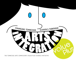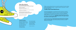*"When a school embraces the arts as central to academics, the entire culture of the school changes. Everyone – students, teachers, and parents– can feel and see the difference."* 

## **– Roy Miller, Principal, Mooreland Heights Elementary**

The Value Plus Schools Initiative is a groundbreaking program for education in Tennessee. Emphasizing arts integration, in which dance, music, visual art, theatre and creative writing are primary pathways to learning, students and teachers in Value Plus Schools benefit from a curriculum rich in creativity, problem-solving, imagination and teamwork. The arts are academic subjects and recognized by the *Elementary and Secondary Education Act* as core to the curriculum. While Value Plus Schools integrate the arts into other subjects, the arts are also taught as core stand-alone subjects, *affording students the opportunity to learn both in and through the arts.* 

In Value Plus Schools, both core arts instruction and arts integration are based on state and/ or national curriculum standards, *allowing both students and teachers to strengthen higher order thinking skills*; express and understand ideas and emotions; and make connections to the real world.

# **Value Plus Schools**

*An Arts Integration Initiative of the Tennessee Arts Commission's Arts Education Program*

*Program Coordinators:*  Kim Leavitt, Director of Arts Education, Tennessee Arts Commission

Ann Brown, Arts Education Special Projects Coordinator, Tennessee Arts Commission

*Funding for Value Plus Schools includes:* The U.S. Department of Education *Arts Education Model Development and Dissemination Grant*

Tennessee General Assembly

Tennessee Arts Commission



#### **Commission Members**

Rich Boyd, Executive Director Ellen M. Hays, Chattanooga – Chair Budd Bishop, Livingston – Vice Chair Kurt Winstead, Franklin – Secretary Donna Chase, Knoxville Lanis "Lanny" Cope, Knoxville Gale Jones Carson, Memphis Rhea Condra, Gallatin Ed Gerace, Johnson City Lucia Gilliland, Memphis

Ann K. Looney, Crossville Carol L. McCoy, Nashville Carol W. Prentiss, Memphis Barry Scott, Nashville Ginger Terry, Lexington Bob Wormsley, Caryville

Design by Lydia Light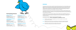#### **BEGINNINGS**

The Tennessee Arts Commission's Value Plus Schools Initiative first took root as a recommendation from a statewide arts education needs assessment conducted from 2004-2005 by Dawn M. Ellis and Associates. *Ready, Set, Grow: Cultivating Arts Education Reform* revealed through surveys, focus groups, town hall meetings and personal interviews, an overwhelming desire to improve and strengthen Tennessee's public schools through a comprehensive arts integration initiative. Needs assessment participants cited the Tennessee Arts Commission as the prime agency to lead such an endeavor.

In developing Value Plus Schools, the Commission researched arts integration models developed by other state agencies including *Arts in the Basic Curriculum* (South Carolina) and *Whole Schools* (Mississippi), as well as expansive multi-state models such as *A+ Schools* (North Carolina). Both the successes and challenges of each program were explored.

In designing Value Plus, the Commission sought to create a program that was adaptable for both rural and urban schools, socio-economic issues, and the variances of each school district. The desired outcome was that any school wishing to adopt arts integration as a focus would find Value Plus a realistic and sustainable alternative.

In examining the research conducted on other arts integration models, the Commission focused on *three critical factors needed for success*:

**( 1 )** Flexibility: Value Plus had to be adaptable to each school's academic and social needs as well as district mandates.

**( 2 )** Replicability: Value Plus had to be comprehensive yet manageable, integrating seamlessly with the numerous other programs and requirements schools are expected to implement.

**( 3 )** Sustainability: Value Plus had to be a realistic option for schools in terms of the funding and personnel needed to be effective.



# **Participating Schools:**

#### **Bradley Academy**

Murfreesboro, TN Murfreesboro City School District Principal: Chad Fletcher Value Plus Leader: Cheryl Harris

#### **Covington Integrated Arts Academy**

Covington, TN Tipton County School District Principal: Jan. O. Sanford Value Plus Leader: Dr. Bonnie Wright

#### **Dickson Elementary**

Dickson, TN Dickson County School District Principal: Eve Larkins Value Plus Leader: Mandy Roche

#### **Huntingdon Primary**

Huntingdon, TN Huntingdon Special School District Principal: Alan Eubanks Value Plus Leader: Kelli Postlethwait

 $\mathbb{R}^n$ 

:....•

#### **Mooreland Heights Elementary**

Knoxville, TN Knox County School District Principal: Roy Miller Value Plus Leader: Brandi Self

#### **Oak Grove Elementary**

Cleveland, TN Bradley County School District Principal: Ted Bryson Value Plus Leader: Fredda Burton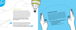

a a mara a mara a Tana a Tana a Tana a Tana a Tana a Tana a Tana a Tana a Tana a Tana a Tana a Tana a Tana a T

**LAUNCHING VALUE PLUS**

In Fall 2006, the Commission rolled out the Value Plus Schools initiative as a five-year pilot program in six Title I elementary schools. The six schools were situated statewide and represented an equal distribution of urban and rural. In western Tennessee, the two rural schools were Covington Academy (K-8) in Covington and Huntingdon Primary (K-3) in Huntingdon. Middle Tennessee had one urban school, Bradley Academy (K-6) in Murfreesboro and one rural, Dickson Elementary (K-5) in Dickson. East Tennessee also had one urban and rural; Mooreland Heights Elementary (K-5) in Knoxville and Oak Grove Elementary (K-5) in Cleveland. *All schools were required to maintain a minimum free and reduced lunch rate of 50%. Most ranged between 75%-93%.*

**WW** 

# **MEASURING EFFECTIVENESS**

Edvantia Inc. was contracted by the Tennessee Arts Commission Euvanua me. was contracted by the Tennessee Arts Commission separate surveys were used as well as self-assessment checklists, separate surveys were used as well as self-assessment checkinsts, Grassivon opservation. All the instruments, except for the focus or program evaluation. All the instruments, except for the rocus<br>group protocol, were developed by Commission staff and vetted group protocol, were developed by Commission start and vetted<br>by evaluators. Evaluators provided technical advice to the staff regarding the appropriateness of the questions and response scales reyarding the appropriateness of the questions and response scales<br>as required. In addition to the above-mentioned instruments, Value as required. Ill audition to the applicationed instruments, value

 $\tilde{\phantom{a}}$ 

plus and comparison sexterness.<br>
evaluate program effectiveness.<br>
Throughout the four-year project, Value Plus participants included:<br>
Throughout the four-year project, Value Plus participants grades  *• Ten thousand four hundred (10,400) students grades*

- *Pre K-8 (average of <sup>2600</sup> per year) • One thousand eighty (1080) teachers*
- *(average of <sup>270</sup> per year) • Fifty-six administrators (average of <sup>14</sup> per year)*
	-

 $\boldsymbol{z}$ 

*The arts have made our school stronger. They help our learners both academically and emotionally, especially our students who struggle with other factors such as poverty, a lack of family support and other needs.*

**– Jan O. Sanford, Principal, Covington Integrated Arts Academy**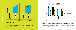*what we learned*

ELEARNED

# **Student Achievement**

In 2006, when the program began, students in the six Value Plus Schools collectively averaged 79.6% proficient and advanced in math, reading/language arts, social studies and science as opposed to 86.1% in comparison schools. After four years, Value Plus students closed the achievement gap, with 88% proficient and advanced while comparison students showed only a 1% gain, at 87%. *The table above demonstrates this progress.*

Despite having higher numbers of students on free/reduced lunch, Value Plus Schools made greater academic gains over the four year period than comparison schools in all four content areas: math, science, reading/language arts and social studies. The percentages of students who were economically disadvantaged were higher for Value Plus Schools (78% on average) than the comparison schools (61% on average). National research demonstrates that schools with a high proportion of economically disadvantaged students tend to perform lower on standardized tests. This is significant in that Value Plus schools performed higher than comparison schools despite having greater numbers of students on free and reduced lunch. *The table above demonstrates this progress.*



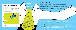# *Sidebar Story:* **Special Education**

In one school, Special Education teachers found arts integration to be highly effective in helping students understand math concepts and procedures. These teachers reported using the arts to teach math at least three times per week and, in some cases, every day of the week. Students in these special education classes experienced significant academic growth, with math scores increasing from 52% proficient and advanced to 79% over a three-year period.



PRINCIPALS **ARE KEY** TO SUCCEC.

#### **Principal** participation emerged as integral and critical to the success of each Value Plus School. For the Value Plus Schools who demonstrated significant progress, that success can be directly linked to principal leadership and influence. Student achievement was much higher in schools where the principal was actively involved in implementing the Value Plus program. In schools where the principal made Value Plus a priority, teachers showed greater progress in teaching high quality arts integrated lessons with more frequency.

*In four schools, 100% of the teaching faculty participated for the duration of the pilot phase program,* including Special Education, Title I, ELL, Technology, Library, Guidance and other resource teachers. The two remaining schools had a 98% and 95% participation rate respectively, due to some resource teachers choosing not to participate.

To monitor participation, teachers were required to teach a minimum of one arts integrated lesson per week in Year One and the first part of Year Two, with the remaining project period requiring *two arts integrated lessons per week* be taught. Arts integrated instruction was documented through Assessment Checklists and master calendars in which teachers recorded when their weekly lesson(s) would be taught. Most principals also conducted "drop-in" visits to ensure that teachers were actually implementing instruction. *In Value Plus Schools where 90% or more of the faculty reported teaching a minimum of two arts integrated lessons per week, student achievement increased.*

## **Wide scale Participation**

As a whole school model, Value Plus has successfully demonstrated how comprehensive reform can occur when entire school faculties are actively working toward a common goal. One of the common barriers exhibited by similar models was large-scale participation on the part of classroom teachers. Other models compensated teachers for participation or provided incentives, leading to sustainability issues. To combat this, Value Plus project directors established a mandate for schools from the outset that *75% or more of the full-time teaching faculty had to actively participate in all aspects of the program.* This included professional development as well as arts integrated classroom instruction. All six of the Value Plus Schools exceeded the 75% participation rate.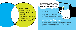#### **Collaborative Planning**

Arts integration is only possible when schools purposely create time in the schedule for classroom teachers and arts specialists to collaborate on lessons and units. *Over the four year period, collaborative planning time between arts specialists and classroom teachers increased from 7% to 71%.*

Value Plus Schools addressed collaboration in unique ways with some schools rotating arts specialists weekly through planning periods while others used release time for in-depth monthly collaboration. Some Value Plus schools placed greater emphasis on collaboration than others, enforcing and monitoring planning time. Those Value Plus Schools who established strict expectations for collaboration demonstrated *higher levels of academic achievement* than other Value Plus Schools who did not enforce or monitor collaborative planning.

#### **Changing Perceptions**

When first introduced to the idea of arts integration, only 3% of classroom teachers reported receiving some instruction as part of their pre-service training. 91% reported receiving no information or training in arts integration as part of pre-service. By contrast, 83% of arts specialists had received some instruction, while an additional 18% reported having had a college level course focused on arts integration.

When Value Plus was first implemented in 2006, 19% of teachers and 40% of principals strongly agreed that arts integration would be highly

effective at improving student achievement. *In 2010 when the program concluded, 97% of teachers and 100% of principals strongly agreed that arts integration had a profound impact on student achievement.*

Prior to becoming involved with Value Plus, arts specialists felt relegated to the sidelines of their schools, citing little interaction with classroom teachers and a general lack of awareness among school faculty about the power of the arts on student learning. Only 25% of arts specialists felt that classroom teachers understood and valued their contribution to the curriculum. By the end of the pilot phase in 2010, that increased to 100%. Supporting this perception, in 2006, only 17% of classroom teachers felt strongly that arts specialists were vital contributors to the school faculty. In 2010, that increased to 97%.

*"Arts integration changed the way I teach. It changed the way I think about teaching, and it changed the way my students learn."* 

**– Brandi Self, 5th Grade Teacher, Mooreland Heights Elementary**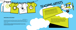# **Teaching Artists**

Teaching artists conducted residencies and provided professional development to Value Plus Provided Professional development to value Plus provided classroom teachers and arts specialists with unique opportunities to collaborate and team-teach alongside professional teaching school es provided opportune<br>esidencies with unique opportunesional tourists.<br>pecialists with value provided with Value Plus,<br>and team-teach alongside provided artist residencies.<br>artists. Popilot school had utilized artis esidences with unique proced with various pecialists with displaces.<br>
Decialists with alongside proced with various and team-teach alongside involved artist residencies.<br>
and team-teach ol had utilized artist residencies.

**Professional Development**

*Professional development for Value Plus Schools was year-round,* culminating in a four-day Summer Intensive in which the six schools trained together. Additional professional development activities included strategic planning, curriculum workshops and annual leadership academies for principals and Value Plus Leaders. Each school worked with Value Plus staff to design their own professional development based on their school's greatest academic needs.

To bolster participation, professional development throughout the year was done on-site at each school and scheduled during mandated district in-services in which all faculty were required to attend.

*At the end of the pilot phase, students in Value Plus Schools received 1,766 visits by teaching artists, a 90% increase in the number of artist residencies hosted by schools. Value Plus Schools also benefitted from attending 518 cultural field trips.*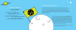

# *Value Plus Schools...*

made *greater academic gains* than comparison schools.

 had higher numbers of economically disadvantaged students but still *outperformed comparison schools* on standardized tests.

experienced higher academic achievement when teachers taught at least *two arts integrated lessons per week.*

experienced *higher academic achievement* when principals were actively involved in implementing the program. The \$1,062,000 grant is being used for the development of **Arts360°**, a district model in Knox County. *The Tennessee Arts Commission's Arts360° initiative brings teachers full-circle, as learners, collaborators, facilitators, and reflectors, in order to improve instruction and impact student achievement by making arts-based and arts integrated learning a critical component of every child's educational experience.* Arts360° includes year-round professional development and mentoring structured around inquiry-based reflection strategies to deepen and improve collaboration among generalist teachers, arts specialists, and teaching artists.

> The experiences and lessons learned through Value Plus greatly impacted the design and implementation of Arts360°.

# *Looking Toward the Future*

 $\bullet$ 

Although the pilot phase of Value Plus Schools ended in May 2010, the Tennessee Arts Commission continues to provide funding, artist residencies, professional development and other support to continue the program. *In July 2010, the Commission was honored to become the only state arts agency - and one of only a handful of organizations - to ever be awarded the prestigious Arts Education Model Development and Dissemination Grant from the U.S. Department of Education a second time.*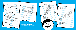Dear TAC, Dear Arts people, Thank you for drama an<sup>d</sup>  $\bullet$ dance. I Love school now and The drumming class is one of the most fun things to do at school. monsters. When I grow up, When I hit the drum, it vibrates monomic of the an artist or a and it makes me feel happy. We I'm you'll baseball player. learn about vibration is science too. Your friend, I especially love the drama classes. The acting in front of people has Kevin Kindergartner, Bradley helped me raise my courage. The arts field trips are good too. They help Academy me see throughout the whole world. Your future artist, Dear Tennessee Arts Commission, Keisha, 3rd grader I like having the arts in our school. It Covington Integrated Arts Academy is scientifically proven that if one makes learning fun, one remembers what one is learning. That's why my teachers teach us math through paintings and music. We learn if better and that's good for me because I suck at math. Best Wishes, **In Their Own Words:**  Rickie, 3rd grader Huntingdon Primary School *What Students Think About Arts Integration*

One of the things I like most about Value Plus is the pottery. It helped me learn a lot about 3-D sculpture and Southwest Native Americans. The teaching artist, Annamaria, was a real artist. I also liked learning about Mondrian and how he used math when he painted. I never thought about math and painting before. But my absolute favorite thing was the explorer sculptures. I'm a real sucker for clay. I would highly appreciate it if you could give our middle school Value Plus because that's where I'm going next year.

Sincerely,

Dear Arts Commission, Creative arts is not just time to relax in this school, it is a time to become better thinkers. We learn art and other subjects at the same time. When artists come to our school, it is exciting to know a real live artist. The string quartet was amazing to listen to. It is a shame that very few people do not appreciate that but many children do in this school. You are the cause of these great memories. These are my thoughts on my school.  $\bullet$ Sincerely, Brittney, 4th Grader Covington Integrated Arts Academy

# Dear Arts Commission,

Hunter, 5th grader Mooreland Heights Elementary